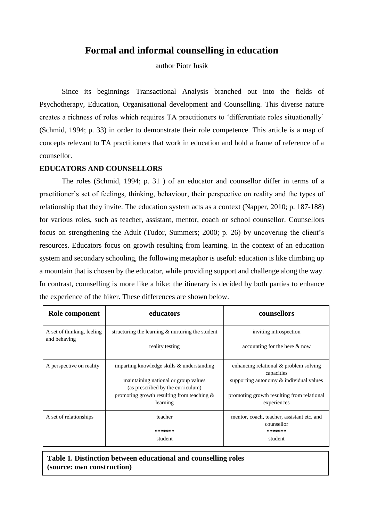# **Formal and informal counselling in education**

author Piotr Jusik

Since its beginnings Transactional Analysis branched out into the fields of Psychotherapy, Education, Organisational development and Counselling. This diverse nature creates a richness of roles which requires TA practitioners to 'differentiate roles situationally' (Schmid, 1994; p. 33) in order to demonstrate their role competence. This article is a map of concepts relevant to TA practitioners that work in education and hold a frame of reference of a counsellor.

## **EDUCATORS AND COUNSELLORS**

The roles (Schmid, 1994; p. 31 ) of an educator and counsellor differ in terms of a practitioner's set of feelings, thinking, behaviour, their perspective on reality and the types of relationship that they invite. The education system acts as a context (Napper, 2010; p. 187-188) for various roles, such as teacher, assistant, mentor, coach or school counsellor. Counsellors focus on strengthening the Adult (Tudor, Summers; 2000; p. 26) by uncovering the client's resources. Educators focus on growth resulting from learning. In the context of an education system and secondary schooling, the following metaphor is useful: education is like climbing up a mountain that is chosen by the educator, while providing support and challenge along the way. In contrast, counselling is more like a hike: the itinerary is decided by both parties to enhance the experience of the hiker. These differences are shown below.

| Role component                             | educators                                                                                                                                                                            | counsellors                                                                                                                                                  |  |
|--------------------------------------------|--------------------------------------------------------------------------------------------------------------------------------------------------------------------------------------|--------------------------------------------------------------------------------------------------------------------------------------------------------------|--|
| A set of thinking, feeling<br>and behaving | structuring the learning $\&$ nurturing the student<br>reality testing                                                                                                               | inviting introspection<br>accounting for the here $\&$ now                                                                                                   |  |
| A perspective on reality                   | imparting knowledge skills & understanding<br>maintaining national or group values<br>(as prescribed by the curriculum)<br>promoting growth resulting from teaching $\&$<br>learning | enhancing relational & problem solving<br>capacities<br>supporting autonomy & individual values<br>promoting growth resulting from relational<br>experiences |  |
| A set of relationships                     | teacher<br>*******<br>student                                                                                                                                                        | mentor, coach, teacher, assistant etc. and<br>counsellor<br>*******<br>student                                                                               |  |

**Table 1. Distinction between educational and counselling roles (source: own construction)**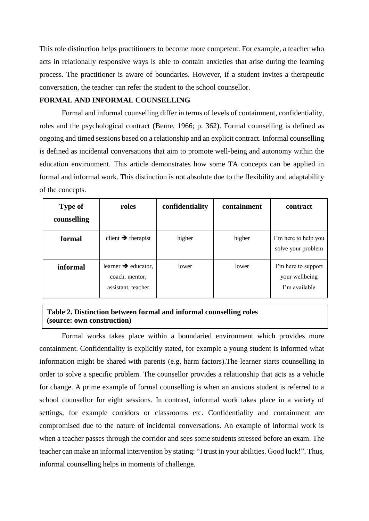This role distinction helps practitioners to become more competent. For example, a teacher who acts in relationally responsive ways is able to contain anxieties that arise during the learning process. The practitioner is aware of boundaries. However, if a student invites a therapeutic conversation, the teacher can refer the student to the school counsellor.

# **FORMAL AND INFORMAL COUNSELLING**

Formal and informal counselling differ in terms of levels of containment, confidentiality, roles and the psychological contract (Berne, 1966; p. 362). Formal counselling is defined as ongoing and timed sessions based on a relationship and an explicit contract. Informal counselling is defined as incidental conversations that aim to promote well-being and autonomy within the education environment. This article demonstrates how some TA concepts can be applied in formal and informal work. This distinction is not absolute due to the flexibility and adaptability of the concepts.

| <b>Type of</b><br>counselling | roles                                                                   | confidentiality | containment | contract                                               |
|-------------------------------|-------------------------------------------------------------------------|-----------------|-------------|--------------------------------------------------------|
| formal                        | client $\rightarrow$ therapist                                          | higher          | higher      | I'm here to help you<br>solve your problem             |
| informal                      | learner $\rightarrow$ educator,<br>coach, mentor,<br>assistant, teacher | lower           | lower       | I'm here to support<br>your wellbeing<br>I'm available |

# **Table 2. Distinction between formal and informal counselling roles (source: own construction)**

Formal works takes place within a boundaried environment which provides more containment. Confidentiality is explicitly stated, for example a young student is informed what information might be shared with parents (e.g. harm factors).The learner starts counselling in order to solve a specific problem. The counsellor provides a relationship that acts as a vehicle for change. A prime example of formal counselling is when an anxious student is referred to a school counsellor for eight sessions. In contrast, informal work takes place in a variety of settings, for example corridors or classrooms etc. Confidentiality and containment are compromised due to the nature of incidental conversations. An example of informal work is when a teacher passes through the corridor and sees some students stressed before an exam. The teacher can make an informal intervention by stating: "I trust in your abilities. Good luck!". Thus, informal counselling helps in moments of challenge.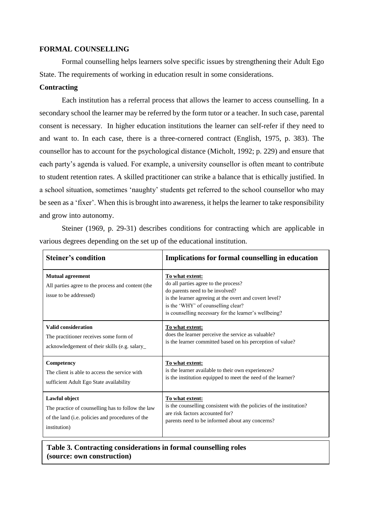### **FORMAL COUNSELLING**

Formal counselling helps learners solve specific issues by strengthening their Adult Ego State. The requirements of working in education result in some considerations.

# **Contracting**

Each institution has a referral process that allows the learner to access counselling. In a secondary school the learner may be referred by the form tutor or a teacher. In such case, parental consent is necessary. In higher education institutions the learner can self-refer if they need to and want to. In each case, there is a three-cornered contract (English, 1975, p. 383). The counsellor has to account for the psychological distance (Micholt, 1992; p. 229) and ensure that each party's agenda is valued. For example, a university counsellor is often meant to contribute to student retention rates. A skilled practitioner can strike a balance that is ethically justified. In a school situation, sometimes 'naughty' students get referred to the school counsellor who may be seen as a 'fixer'. When this is brought into awareness, it helps the learner to take responsibility and grow into autonomy.

Steiner (1969, p. 29-31) describes conditions for contracting which are applicable in various degrees depending on the set up of the educational institution.

| <b>Steiner's condition</b>                                                                             | <b>Implications for formal counselling in education</b>                                                                                                                                                                                             |
|--------------------------------------------------------------------------------------------------------|-----------------------------------------------------------------------------------------------------------------------------------------------------------------------------------------------------------------------------------------------------|
| <b>Mutual agreement</b><br>All parties agree to the process and content (the<br>issue to be addressed) | To what extent:<br>do all parties agree to the process?<br>do parents need to be involved?<br>is the learner agreeing at the overt and covert level?<br>is the 'WHY' of counselling clear?<br>is counselling necessary for the learner's wellbeing? |
| <b>Valid consideration</b>                                                                             | To what extent:                                                                                                                                                                                                                                     |
| The practitioner receives some form of                                                                 | does the learner perceive the service as valuable?                                                                                                                                                                                                  |
| acknowledgement of their skills (e.g. salary_                                                          | is the learner committed based on his perception of value?                                                                                                                                                                                          |
| Competency                                                                                             | To what extent:                                                                                                                                                                                                                                     |
| The client is able to access the service with                                                          | is the learner available to their own experiences?                                                                                                                                                                                                  |
| sufficient Adult Ego State availability                                                                | is the institution equipped to meet the need of the learner?                                                                                                                                                                                        |
| Lawful object                                                                                          | To what extent:                                                                                                                                                                                                                                     |
| The practice of counselling has to follow the law                                                      | is the counselling consistent with the policies of the institution?                                                                                                                                                                                 |
| of the land (i.e. policies and procedures of the                                                       | are risk factors accounted for?                                                                                                                                                                                                                     |
| institution)                                                                                           | parents need to be informed about any concerns?                                                                                                                                                                                                     |

# **Table 3. Contracting considerations in formal counselling roles (source: own construction)**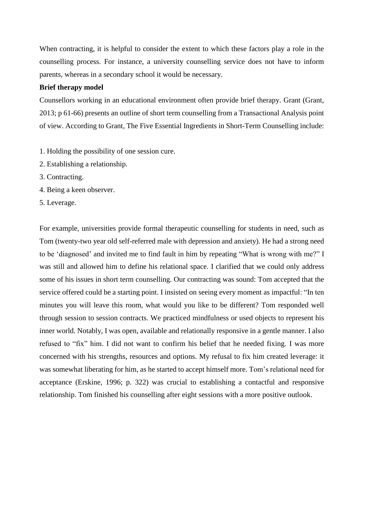When contracting, it is helpful to consider the extent to which these factors play a role in the counselling process. For instance, a university counselling service does not have to inform parents, whereas in a secondary school it would be necessary.

# **Brief therapy model**

Counsellors working in an educational environment often provide brief therapy. Grant (Grant, 2013; p 61-66) presents an outline of short term counselling from a Transactional Analysis point of view. According to Grant, The Five Essential Ingredients in Short-Term Counselling include:

- 1. Holding the possibility of one session cure.
- 2. Establishing a relationship.
- 3. Contracting.
- 4. Being a keen observer.
- 5. Leverage.

For example, universities provide formal therapeutic counselling for students in need, such as Tom (twenty-two year old self-referred male with depression and anxiety). He had a strong need to be 'diagnosed' and invited me to find fault in him by repeating "What is wrong with me?" I was still and allowed him to define his relational space. I clarified that we could only address some of his issues in short term counselling. Our contracting was sound: Tom accepted that the service offered could be a starting point. I insisted on seeing every moment as impactful: "In ten minutes you will leave this room, what would you like to be different? Tom responded well through session to session contracts. We practiced mindfulness or used objects to represent his inner world. Notably, I was open, available and relationally responsive in a gentle manner. I also refused to "fix" him. I did not want to confirm his belief that he needed fixing. I was more concerned with his strengths, resources and options. My refusal to fix him created leverage: it was somewhat liberating for him, as he started to accept himself more. Tom's relational need for acceptance (Erskine, 1996; p. 322) was crucial to establishing a contactful and responsive relationship. Tom finished his counselling after eight sessions with a more positive outlook.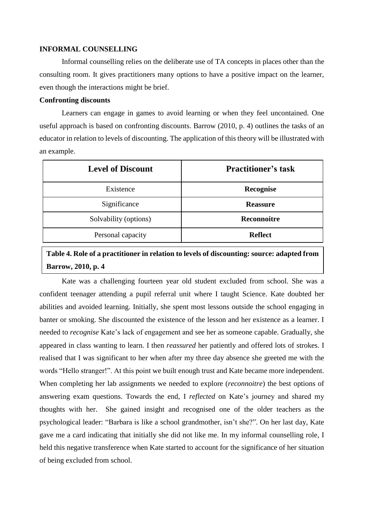#### **INFORMAL COUNSELLING**

Informal counselling relies on the deliberate use of TA concepts in places other than the consulting room. It gives practitioners many options to have a positive impact on the learner, even though the interactions might be brief.

#### **Confronting discounts**

Learners can engage in games to avoid learning or when they feel uncontained. One useful approach is based on confronting discounts. Barrow (2010, p. 4) outlines the tasks of an educator in relation to levels of discounting. The application of this theory will be illustrated with an example.

| <b>Level of Discount</b> | <b>Practitioner's task</b> |
|--------------------------|----------------------------|
| Existence                | Recognise                  |
| Significance             | <b>Reassure</b>            |
| Solvability (options)    | <b>Reconnoitre</b>         |
| Personal capacity        | <b>Reflect</b>             |

# **Table 4. Role of a practitioner in relation to levels of discounting: source: adapted from Barrow, 2010, p. 4**

Kate was a challenging fourteen year old student excluded from school. She was a confident teenager attending a pupil referral unit where I taught Science. Kate doubted her abilities and avoided learning. Initially, she spent most lessons outside the school engaging in banter or smoking. She discounted the existence of the lesson and her existence as a learner. I needed to *recognise* Kate's lack of engagement and see her as someone capable. Gradually, she appeared in class wanting to learn. I then *reassured* her patiently and offered lots of strokes. I realised that I was significant to her when after my three day absence she greeted me with the words "Hello stranger!". At this point we built enough trust and Kate became more independent. When completing her lab assignments we needed to explore (*reconnoitre*) the best options of answering exam questions. Towards the end, I *reflected* on Kate's journey and shared my thoughts with her. She gained insight and recognised one of the older teachers as the psychological leader: "Barbara is like a school grandmother, isn't she?". On her last day, Kate gave me a card indicating that initially she did not like me. In my informal counselling role, I held this negative transference when Kate started to account for the significance of her situation of being excluded from school.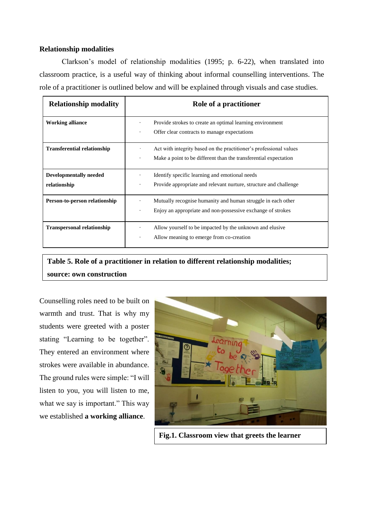## **Relationship modalities**

Clarkson's model of relationship modalities (1995; p. 6-22), when translated into classroom practice, is a useful way of thinking about informal counselling interventions. The role of a practitioner is outlined below and will be explained through visuals and case studies.

| <b>Relationship modality</b>                  | Role of a practitioner                                                                                                                                |  |
|-----------------------------------------------|-------------------------------------------------------------------------------------------------------------------------------------------------------|--|
| <b>Working alliance</b>                       | Provide strokes to create an optimal learning environment<br>$\bullet$<br>Offer clear contracts to manage expectations<br>$\bullet$                   |  |
| <b>Transferential relationship</b>            | Act with integrity based on the practitioner's professional values<br>Make a point to be different than the transferential expectation<br>$\bullet$   |  |
| <b>Developmentally needed</b><br>relationship | Identify specific learning and emotional needs<br>$\bullet$<br>Provide appropriate and relevant nurture, structure and challenge<br>$\bullet$         |  |
| Person-to-person relationship                 | Mutually recognise humanity and human struggle in each other<br>$\bullet$<br>Enjoy an appropriate and non-possessive exchange of strokes<br>$\bullet$ |  |
| <b>Transpersonal relationship</b>             | Allow yourself to be impacted by the unknown and elusive<br>Allow meaning to emerge from co-creation<br>$\bullet$                                     |  |

**Table 5. Role of a practitioner in relation to different relationship modalities; source: own construction**

Counselling roles need to be built on warmth and trust. That is why my students were greeted with a poster stating "Learning to be together". They entered an environment where strokes were available in abundance. The ground rules were simple: "I will listen to you, you will listen to me, what we say is important." This way we established **a working alliance**.



**Fig.1. Classroom view that greets the learner**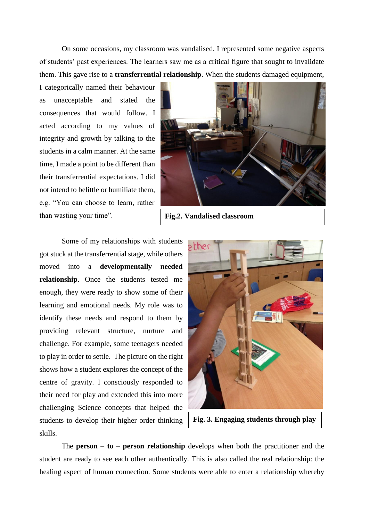On some occasions, my classroom was vandalised. I represented some negative aspects of students' past experiences. The learners saw me as a critical figure that sought to invalidate them. This gave rise to a **transferrential relationship**. When the students damaged equipment,

I categorically named their behaviour as unacceptable and stated the consequences that would follow. I acted according to my values of integrity and growth by talking to the students in a calm manner. At the same time, I made a point to be different than their transferrential expectations. I did not intend to belittle or humiliate them, e.g. "You can choose to learn, rather than wasting your time".



**Fig.2. Vandalised classroom**

Some of my relationships with students got stuck at the transferrential stage, while others moved into a **developmentally needed relationship**. Once the students tested me enough, they were ready to show some of their learning and emotional needs. My role was to identify these needs and respond to them by providing relevant structure, nurture and challenge. For example, some teenagers needed to play in order to settle. The picture on the right shows how a student explores the concept of the centre of gravity. I consciously responded to their need for play and extended this into more challenging Science concepts that helped the students to develop their higher order thinking skills.



**Fig. 3. Engaging students through play**

The **person – to – person relationship** develops when both the practitioner and the student are ready to see each other authentically. This is also called the real relationship: the healing aspect of human connection. Some students were able to enter a relationship whereby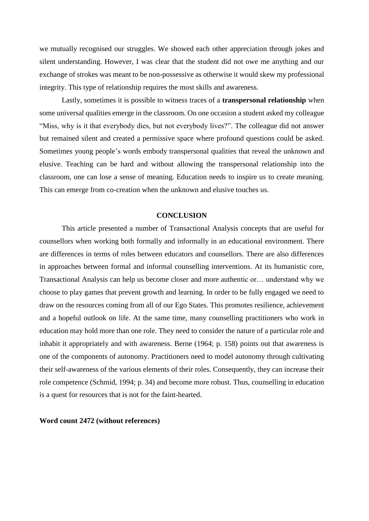we mutually recognised our struggles. We showed each other appreciation through jokes and silent understanding. However, I was clear that the student did not owe me anything and our exchange of strokes was meant to be non-possessive as otherwise it would skew my professional integrity. This type of relationship requires the most skills and awareness.

Lastly, sometimes it is possible to witness traces of a **transpersonal relationship** when some universal qualities emerge in the classroom. On one occasion a student asked my colleague "Miss, why is it that everybody dies, but not everybody lives?". The colleague did not answer but remained silent and created a permissive space where profound questions could be asked. Sometimes young people's words embody transpersonal qualities that reveal the unknown and elusive. Teaching can be hard and without allowing the transpersonal relationship into the classroom, one can lose a sense of meaning. Education needs to inspire us to create meaning. This can emerge from co-creation when the unknown and elusive touches us.

## **CONCLUSION**

This article presented a number of Transactional Analysis concepts that are useful for counsellors when working both formally and informally in an educational environment. There are differences in terms of roles between educators and counsellors. There are also differences in approaches between formal and informal counselling interventions. At its humanistic core, Transactional Analysis can help us become closer and more authentic or… understand why we choose to play games that prevent growth and learning. In order to be fully engaged we need to draw on the resources coming from all of our Ego States. This promotes resilience, achievement and a hopeful outlook on life. At the same time, many counselling practitioners who work in education may hold more than one role. They need to consider the nature of a particular role and inhabit it appropriately and with awareness. Berne (1964; p. 158) points out that awareness is one of the components of autonomy. Practitioners need to model autonomy through cultivating their self-awareness of the various elements of their roles. Consequently, they can increase their role competence (Schmid, 1994; p. 34) and become more robust. Thus, counselling in education is a quest for resources that is not for the faint-hearted.

#### **Word count 2472 (without references)**